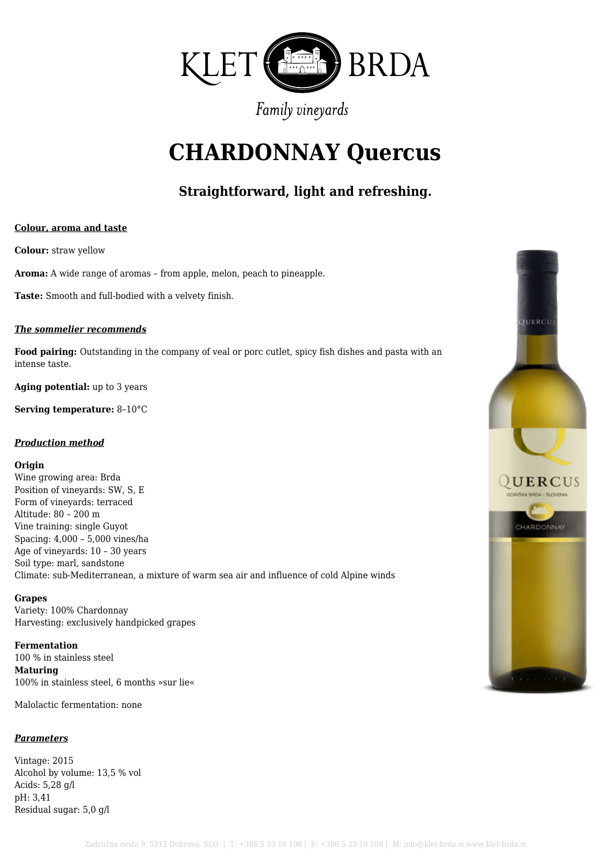

# **CHARDONNAY Quercus**

# **Straightforward, light and refreshing.**

#### **Colour, aroma and taste**

**Colour:** straw yellow

**Aroma:** A wide range of aromas – from apple, melon, peach to pineapple.

**Taste:** Smooth and full-bodied with a velvety finish.

#### *The sommelier recommends*

**Food pairing:** Outstanding in the company of veal or porc cutlet, spicy fish dishes and pasta with an intense taste.

**Aging potential:** up to 3 years

**Serving temperature:** 8–10°C

#### *Production method*

#### **Origin**

Wine growing area: Brda Position of vineyards: SW, S, E Form of vineyards: terraced Altitude: 80 – 200 m Vine training: single Guyot Spacing: 4,000 – 5,000 vines/ha Age of vineyards: 10 – 30 years Soil type: marl, sandstone Climate: sub-Mediterranean, a mixture of warm sea air and influence of cold Alpine winds

#### **Grapes**

Variety: 100% Chardonnay Harvesting: exclusively handpicked grapes

**Fermentation** 100 % in stainless steel **Maturing** 100% in stainless steel, 6 months »sur lie«

Malolactic fermentation: none

### *Parameters*

Vintage: 2015 Alcohol by volume: 13,5 % vol Acids: 5,28 g/l pH: 3,41 Residual sugar: 5,0 g/l

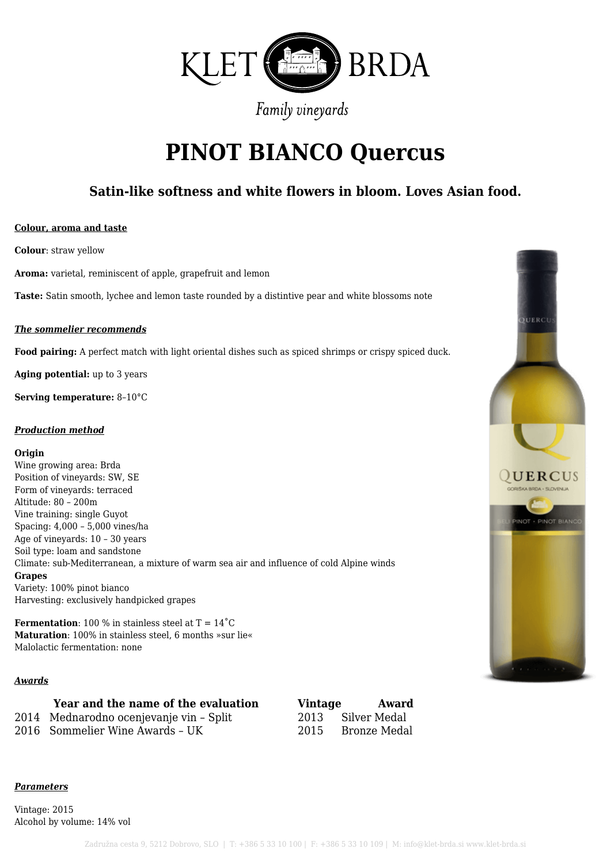

# **PINOT BIANCO Quercus**

### **Satin-like softness and white flowers in bloom. Loves Asian food.**

#### **Colour, aroma and taste**

**Colour**: straw yellow

**Aroma:** varietal, reminiscent of apple, grapefruit and lemon

**Taste:** Satin smooth, lychee and lemon taste rounded by a distintive pear and white blossoms note

#### *The sommelier recommends*

**Food pairing:** A perfect match with light oriental dishes such as spiced shrimps or crispy spiced duck.

**Aging potential:** up to 3 years

**Serving temperature:** 8–10°C

#### *Production method*

#### **Origin**

Wine growing area: Brda Position of vineyards: SW, SE Form of vineyards: terraced Altitude: 80 – 200m Vine training: single Guyot Spacing: 4,000 – 5,000 vines/ha Age of vineyards: 10 – 30 years Soil type: loam and sandstone Climate: sub-Mediterranean, a mixture of warm sea air and influence of cold Alpine winds **Grapes** Variety: 100% pinot bianco Harvesting: exclusively handpicked grapes

**Fermentation**: 100 % in stainless steel at  $T = 14^{\circ}C$ **Maturation**: 100% in stainless steel, 6 months »sur lie« Malolactic fermentation: none

#### *Awards*

#### **Year and the name of the evaluation Vintage Award**

2014 Mednarodno ocenjevanje vin – Split 2013 Silver Medal

2016 Sommelier Wine Awards – UK 2015 Bronze Medal

#### *Parameters*

Vintage: 2015 Alcohol by volume: 14% vol

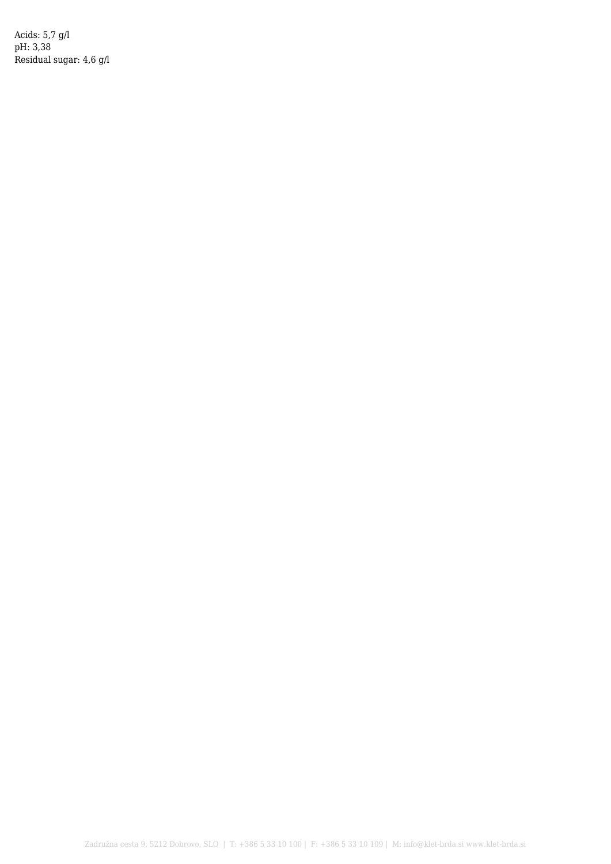Acids: 5,7 g/l pH: 3,38 Residual sugar: 4,6 g/l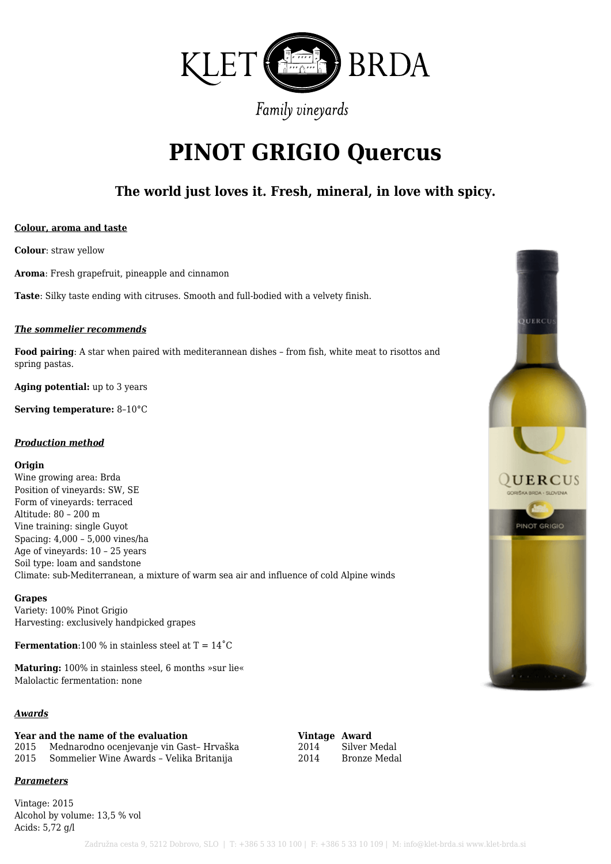

# **PINOT GRIGIO Quercus**

### **The world just loves it. Fresh, mineral, in love with spicy.**

#### **Colour, aroma and taste**

**Colour**: straw yellow

**Aroma**: Fresh grapefruit, pineapple and cinnamon

**Taste**: Silky taste ending with citruses. Smooth and full-bodied with a velvety finish.

#### *The sommelier recommends*

**Food pairing**: A star when paired with mediterannean dishes – from fish, white meat to risottos and spring pastas.

**Aging potential:** up to 3 years

**Serving temperature:** 8–10°C

#### *Production method*

#### **Origin**

Wine growing area: Brda Position of vineyards: SW, SE Form of vineyards: terraced Altitude: 80 – 200 m Vine training: single Guyot Spacing: 4,000 – 5,000 vines/ha Age of vineyards: 10 – 25 years Soil type: loam and sandstone Climate: sub-Mediterranean, a mixture of warm sea air and influence of cold Alpine winds

#### **Grapes**

Variety: 100% Pinot Grigio Harvesting: exclusively handpicked grapes

**Fermentation**:100 % in stainless steel at  $T = 14^{\circ}C$ 

**Maturing:** 100% in stainless steel, 6 months »sur lie« Malolactic fermentation: none

### *Awards*

# **Year and the name of the evaluation Vintage Award**

2015 Mednarodno ocenjevanje vin Gast-Hrvaška 2015 Sommelier Wine Awards – Velika Britanija 2014 Bronze Medal

*Parameters*

Vintage: 2015 Alcohol by volume: 13,5 % vol Acids: 5,72 g/l

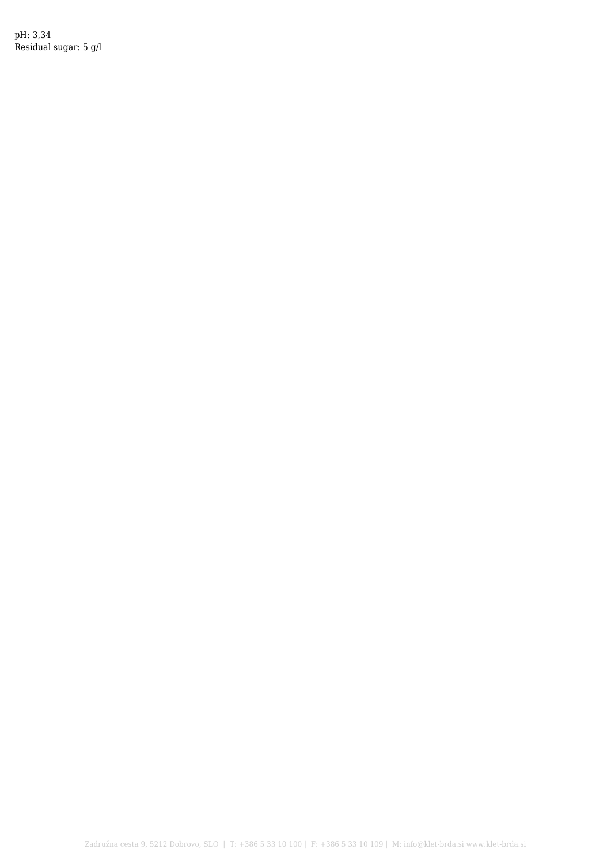pH: 3,34 Residual sugar: 5 g/l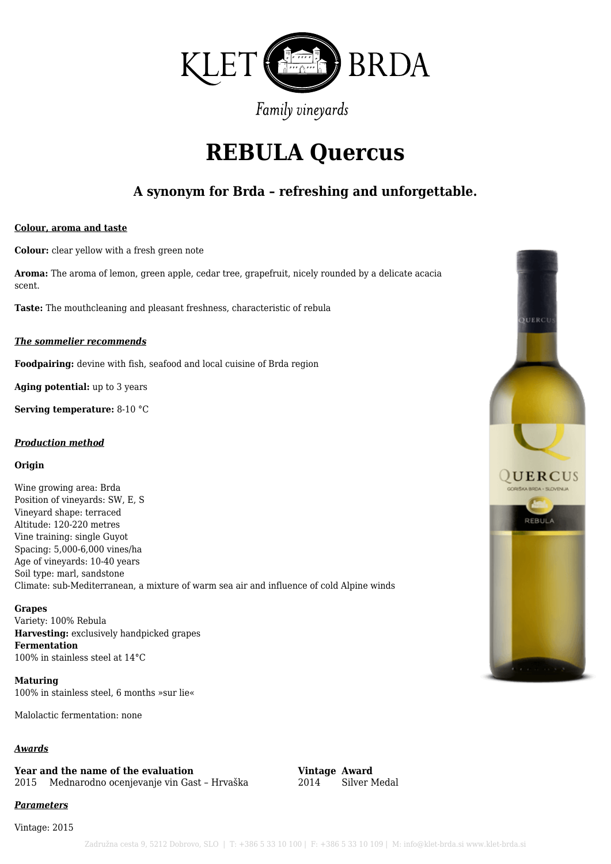

# **REBULA Quercus**

### **A synonym for Brda – refreshing and unforgettable.**

#### **Colour, aroma and taste**

**Colour:** clear yellow with a fresh green note

**Aroma:** The aroma of lemon, green apple, cedar tree, grapefruit, nicely rounded by a delicate acacia scent.

**Taste:** The mouthcleaning and pleasant freshness, characteristic of rebula

#### *The sommelier recommends*

**Foodpairing:** devine with fish, seafood and local cuisine of Brda region

**Aging potential:** up to 3 years

**Serving temperature:** 8-10 °C

#### *Production method*

#### **Origin**

Wine growing area: Brda Position of vineyards: SW, E, S Vineyard shape: terraced Altitude: 120-220 metres Vine training: single Guyot Spacing: 5,000-6,000 vines/ha Age of vineyards: 10-40 years Soil type: marl, sandstone Climate: sub-Mediterranean, a mixture of warm sea air and influence of cold Alpine winds

#### **Grapes**

Variety: 100% Rebula **Harvesting:** exclusively handpicked grapes **Fermentation** 100% in stainless steel at 14°C

**Maturing** 100% in stainless steel, 6 months »sur lie«

Malolactic fermentation: none

#### *Awards*

# **Year and the name of the evaluation Vintage Award**

2015 Mednarodno ocenjevanje vin Gast – Hrvaška 2014 Silver Medal

#### *Parameters*

Vintage: 2015

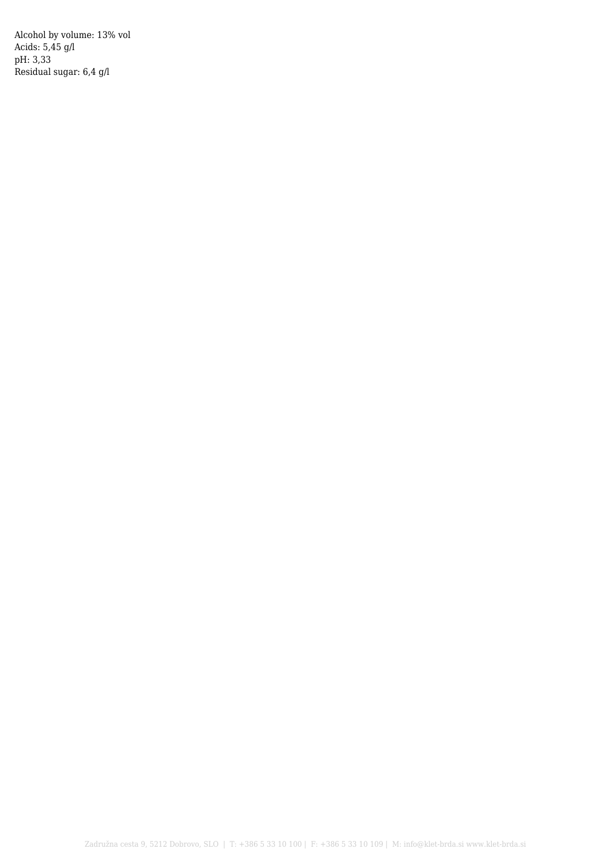Alcohol by volume: 13% vol Acids: 5,45 g/l pH: 3,33 Residual sugar: 6,4 g/l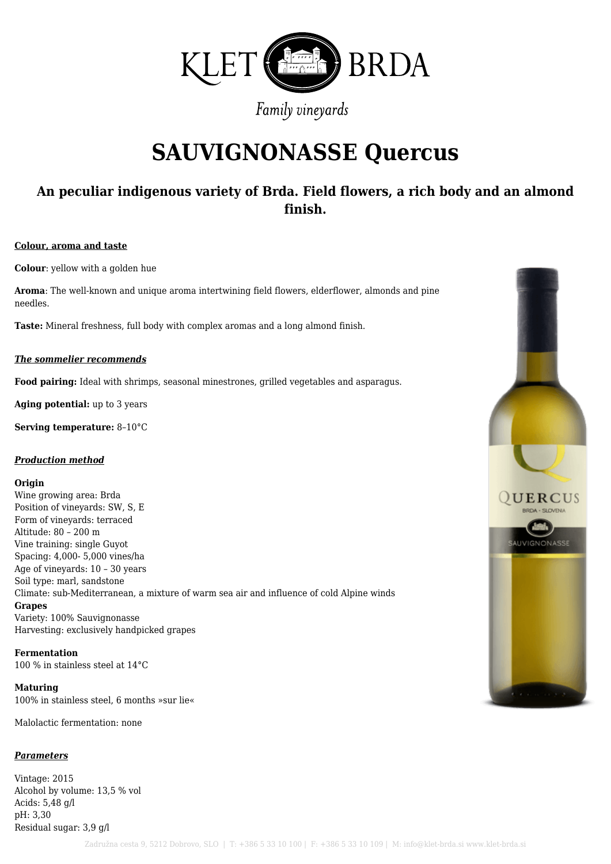

# **SAUVIGNONASSE Quercus**

### **An peculiar indigenous variety of Brda. Field flowers, a rich body and an almond finish.**

#### **Colour, aroma and taste**

**Colour**: yellow with a golden hue

**Aroma**: The well-known and unique aroma intertwining field flowers, elderflower, almonds and pine needles.

**Taste:** Mineral freshness, full body with complex aromas and a long almond finish.

#### *The sommelier recommends*

**Food pairing:** Ideal with shrimps, seasonal minestrones, grilled vegetables and asparagus.

**Aging potential:** up to 3 years

**Serving temperature:** 8–10°C

#### *Production method*

#### **Origin**

Wine growing area: Brda Position of vineyards: SW, S, E Form of vineyards: terraced Altitude: 80 – 200 m Vine training: single Guyot Spacing: 4,000- 5,000 vines/ha Age of vineyards: 10 – 30 years Soil type: marl, sandstone Climate: sub-Mediterranean, a mixture of warm sea air and influence of cold Alpine winds **Grapes** Variety: 100% Sauvignonasse Harvesting: exclusively handpicked grapes

**Fermentation** 100 % in stainless steel at 14°C

**Maturing** 100% in stainless steel, 6 months »sur lie«

Malolactic fermentation: none

#### *Parameters*

Vintage: 2015 Alcohol by volume: 13,5 % vol Acids: 5,48 g/l pH: 3,30 Residual sugar: 3,9 g/l

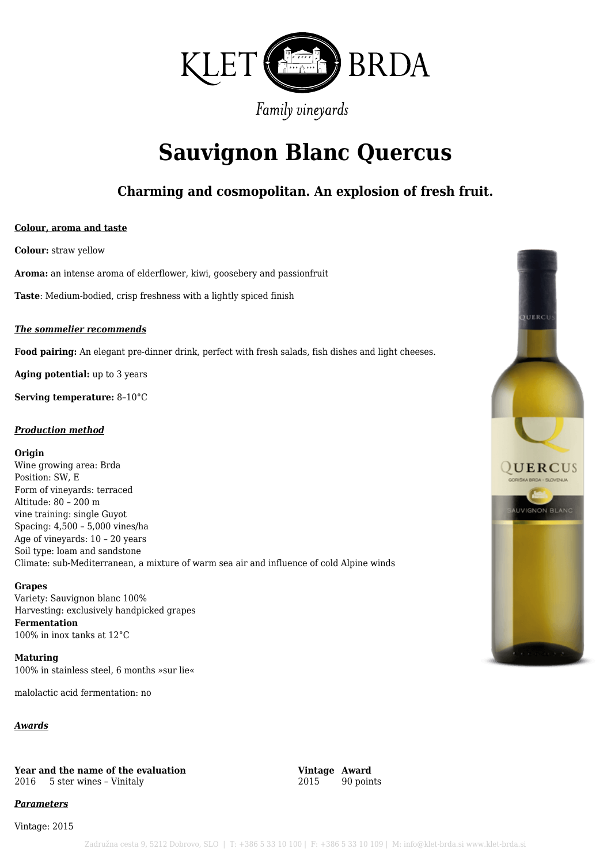

# **Sauvignon Blanc Quercus**

### **Charming and cosmopolitan. An explosion of fresh fruit.**

#### **Colour, aroma and taste**

**Colour:** straw yellow

**Aroma:** an intense aroma of elderflower, kiwi, goosebery and passionfruit

**Taste**: Medium-bodied, crisp freshness with a lightly spiced finish

#### *The sommelier recommends*

**Food pairing:** An elegant pre-dinner drink, perfect with fresh salads, fish dishes and light cheeses.

**Aging potential:** up to 3 years

**Serving temperature:** 8–10°C

#### *Production method*

#### **Origin**

Wine growing area: Brda Position: SW, E Form of vineyards: terraced Altitude: 80 – 200 m vine training: single Guyot Spacing: 4,500 – 5,000 vines/ha Age of vineyards: 10 – 20 years Soil type: loam and sandstone Climate: sub-Mediterranean, a mixture of warm sea air and influence of cold Alpine winds

#### **Grapes**

Variety: Sauvignon blanc 100% Harvesting: exclusively handpicked grapes **Fermentation** 100% in inox tanks at 12°C

**Maturing** 100% in stainless steel, 6 months »sur lie«

malolactic acid fermentation: no

#### *Awards*

**Year and the name of the evaluation**<br>  $2016$  5 ster wines - Vinitaly<br>  $2015$  90 points  $2016$  5 ster wines - Vinitaly

### *Parameters*

Vintage: 2015